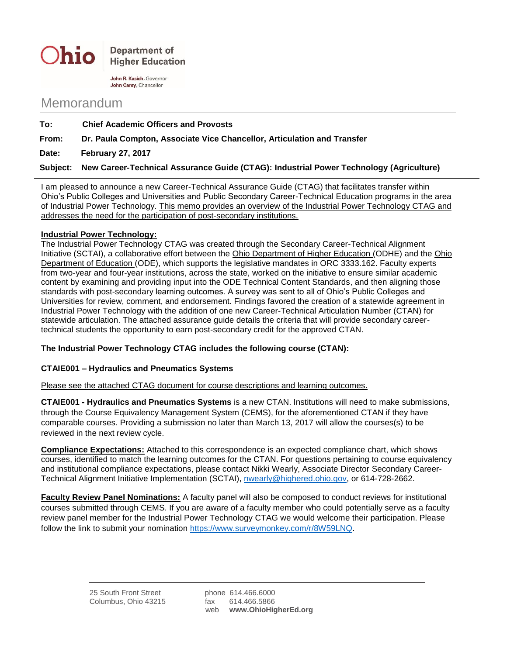

John R. Kasich, Governor John Carey, Chancellor

## Memorandum

| To:             | <b>Chief Academic Officers and Provosts</b>                                            |
|-----------------|----------------------------------------------------------------------------------------|
| From:           | Dr. Paula Compton, Associate Vice Chancellor, Articulation and Transfer                |
| Date:           | <b>February 27, 2017</b>                                                               |
| <b>Subiect:</b> | New Career-Technical Assurance Guide (CTAG): Industrial Power Technology (Agriculture) |

I am pleased to announce a new Career-Technical Assurance Guide (CTAG) that facilitates transfer within Ohio's Public Colleges and Universities and Public Secondary Career-Technical Education programs in the area of Industrial Power Technology. This memo provides an overview of the Industrial Power Technology CTAG and addresses the need for the participation of post-secondary institutions.

## **Industrial Power Technology:**

The Industrial Power Technology CTAG was created through the Secondary Career-Technical Alignment Initiative (SCTAI), a collaborative effort between the Ohio Department of Higher Education (ODHE) and the Ohio Department of Education (ODE), which supports the legislative mandates in ORC 3333.162. Faculty experts from two-year and four-year institutions, across the state, worked on the initiative to ensure similar academic content by examining and providing input into the ODE Technical Content Standards, and then aligning those standards with post-secondary learning outcomes. A survey was sent to all of Ohio's Public Colleges and Universities for review, comment, and endorsement. Findings favored the creation of a statewide agreement in Industrial Power Technology with the addition of one new Career-Technical Articulation Number (CTAN) for statewide articulation. The attached assurance guide details the criteria that will provide secondary careertechnical students the opportunity to earn post-secondary credit for the approved CTAN.

## **The Industrial Power Technology CTAG includes the following course (CTAN):**

## **CTAIE001 – Hydraulics and Pneumatics Systems**

Please see the attached CTAG document for course descriptions and learning outcomes.

**CTAIE001 - Hydraulics and Pneumatics Systems** is a new CTAN. Institutions will need to make submissions, through the Course Equivalency Management System (CEMS), for the aforementioned CTAN if they have comparable courses. Providing a submission no later than March 13, 2017 will allow the courses(s) to be reviewed in the next review cycle.

**Compliance Expectations:** Attached to this correspondence is an expected compliance chart, which shows courses, identified to match the learning outcomes for the CTAN. For questions pertaining to course equivalency and institutional compliance expectations, please contact Nikki Wearly, Associate Director Secondary Career-Technical Alignment Initiative Implementation (SCTAI), [nwearly@highered.ohio.gov,](mailto:nwearly@highered.ohio.gov) or 614-728-2662.

**Faculty Review Panel Nominations:** A faculty panel will also be composed to conduct reviews for institutional courses submitted through CEMS. If you are aware of a faculty member who could potentially serve as a faculty review panel member for the Industrial Power Technology CTAG we would welcome their participation. Please follow the link to submit your nomination [https://www.surveymonkey.com/r/8W59LNQ.](https://www.surveymonkey.com/r/8W59LNQ)